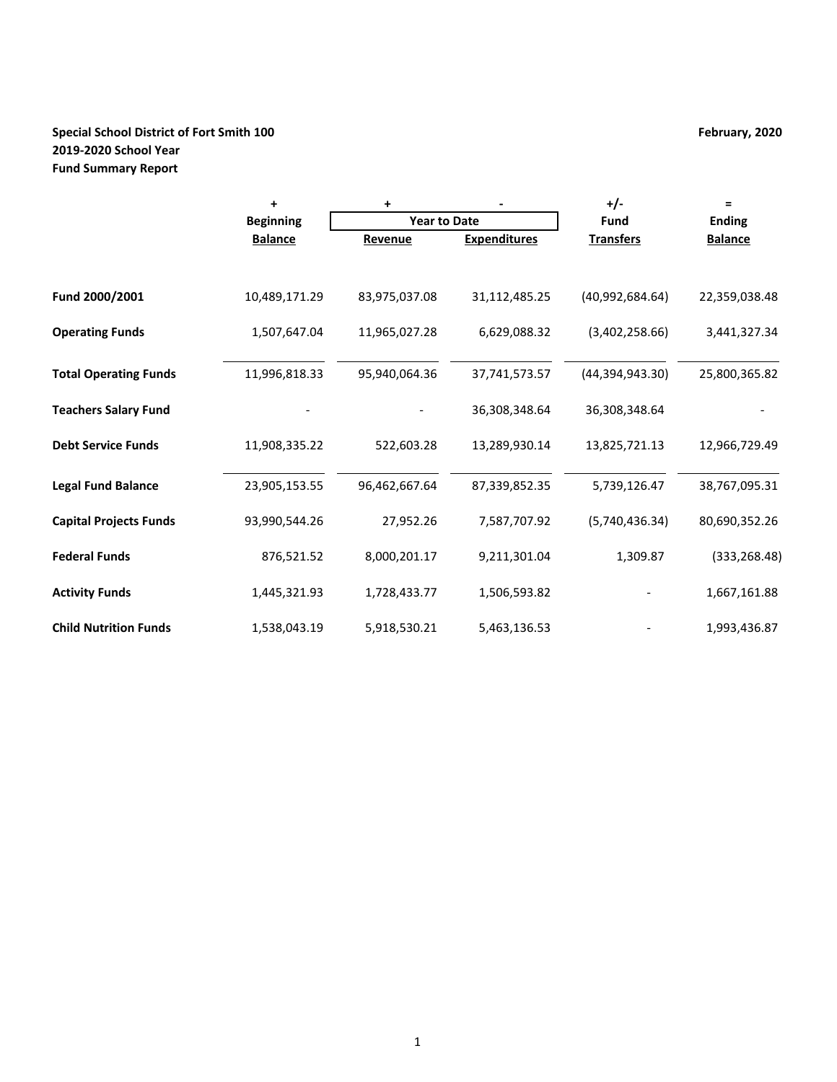# **Special School District of Fort Smith 100 February, 2020 2019-2020 School Year Fund Summary Report**

|                               | +                | +                   |                     | +/-              | Ξ              |
|-------------------------------|------------------|---------------------|---------------------|------------------|----------------|
|                               | <b>Beginning</b> | <b>Year to Date</b> |                     | Fund             | <b>Ending</b>  |
|                               | <b>Balance</b>   | Revenue             | <b>Expenditures</b> | <b>Transfers</b> | <b>Balance</b> |
|                               |                  |                     |                     |                  |                |
| Fund 2000/2001                | 10,489,171.29    | 83,975,037.08       | 31,112,485.25       | (40,992,684.64)  | 22,359,038.48  |
| <b>Operating Funds</b>        | 1,507,647.04     | 11,965,027.28       | 6,629,088.32        | (3,402,258.66)   | 3,441,327.34   |
| <b>Total Operating Funds</b>  | 11,996,818.33    | 95,940,064.36       | 37,741,573.57       | (44,394,943.30)  | 25,800,365.82  |
| <b>Teachers Salary Fund</b>   |                  |                     | 36,308,348.64       | 36,308,348.64    |                |
| <b>Debt Service Funds</b>     | 11,908,335.22    | 522,603.28          | 13,289,930.14       | 13,825,721.13    | 12,966,729.49  |
| <b>Legal Fund Balance</b>     | 23,905,153.55    | 96,462,667.64       | 87,339,852.35       | 5,739,126.47     | 38,767,095.31  |
| <b>Capital Projects Funds</b> | 93,990,544.26    | 27,952.26           | 7,587,707.92        | (5,740,436.34)   | 80,690,352.26  |
| <b>Federal Funds</b>          | 876,521.52       | 8,000,201.17        | 9,211,301.04        | 1,309.87         | (333, 268.48)  |
| <b>Activity Funds</b>         | 1,445,321.93     | 1,728,433.77        | 1,506,593.82        |                  | 1,667,161.88   |
| <b>Child Nutrition Funds</b>  | 1,538,043.19     | 5,918,530.21        | 5,463,136.53        |                  | 1,993,436.87   |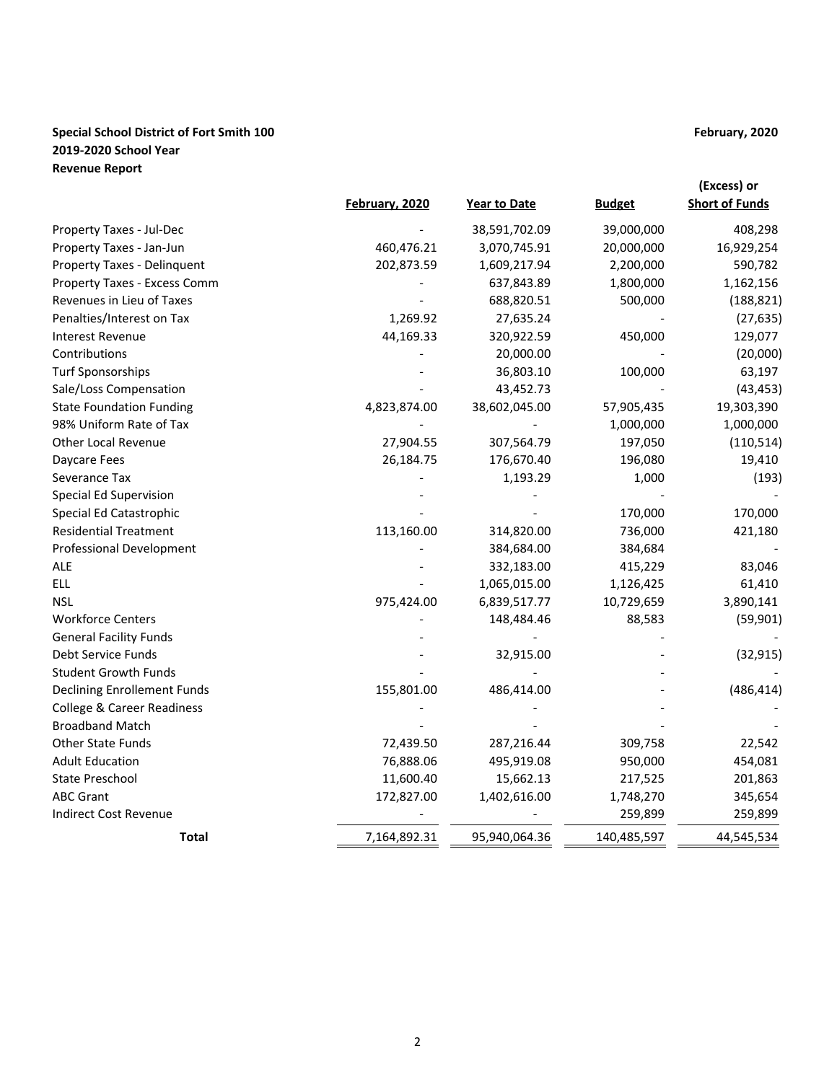# **Special School District of Fort Smith 100 February, 2020 2019-2020 School Year Revenue Report**

|                                       |                |               |               | (Excess) or           |
|---------------------------------------|----------------|---------------|---------------|-----------------------|
|                                       | February, 2020 | Year to Date  | <b>Budget</b> | <b>Short of Funds</b> |
| Property Taxes - Jul-Dec              |                | 38,591,702.09 | 39,000,000    | 408,298               |
| Property Taxes - Jan-Jun              | 460,476.21     | 3,070,745.91  | 20,000,000    | 16,929,254            |
| Property Taxes - Delinquent           | 202,873.59     | 1,609,217.94  | 2,200,000     | 590,782               |
| Property Taxes - Excess Comm          |                | 637,843.89    | 1,800,000     | 1,162,156             |
| Revenues in Lieu of Taxes             |                | 688,820.51    | 500,000       | (188, 821)            |
| Penalties/Interest on Tax             | 1,269.92       | 27,635.24     |               | (27, 635)             |
| <b>Interest Revenue</b>               | 44,169.33      | 320,922.59    | 450,000       | 129,077               |
| Contributions                         |                | 20,000.00     |               | (20,000)              |
| <b>Turf Sponsorships</b>              |                | 36,803.10     | 100,000       | 63,197                |
| Sale/Loss Compensation                |                | 43,452.73     |               | (43, 453)             |
| <b>State Foundation Funding</b>       | 4,823,874.00   | 38,602,045.00 | 57,905,435    | 19,303,390            |
| 98% Uniform Rate of Tax               |                |               | 1,000,000     | 1,000,000             |
| Other Local Revenue                   | 27,904.55      | 307,564.79    | 197,050       | (110, 514)            |
| Daycare Fees                          | 26,184.75      | 176,670.40    | 196,080       | 19,410                |
| Severance Tax                         |                | 1,193.29      | 1,000         | (193)                 |
| Special Ed Supervision                |                |               |               |                       |
| Special Ed Catastrophic               |                |               | 170,000       | 170,000               |
| <b>Residential Treatment</b>          | 113,160.00     | 314,820.00    | 736,000       | 421,180               |
| Professional Development              |                | 384,684.00    | 384,684       |                       |
| ale                                   |                | 332,183.00    | 415,229       | 83,046                |
| <b>ELL</b>                            |                | 1,065,015.00  | 1,126,425     | 61,410                |
| <b>NSL</b>                            | 975,424.00     | 6,839,517.77  | 10,729,659    | 3,890,141             |
| <b>Workforce Centers</b>              |                | 148,484.46    | 88,583        | (59, 901)             |
| <b>General Facility Funds</b>         |                |               |               |                       |
| Debt Service Funds                    |                | 32,915.00     |               | (32, 915)             |
| <b>Student Growth Funds</b>           |                |               |               |                       |
| <b>Declining Enrollement Funds</b>    | 155,801.00     | 486,414.00    |               | (486, 414)            |
| <b>College &amp; Career Readiness</b> |                |               |               |                       |
| <b>Broadband Match</b>                |                |               |               |                       |
| <b>Other State Funds</b>              | 72,439.50      | 287,216.44    | 309,758       | 22,542                |
| <b>Adult Education</b>                | 76,888.06      | 495,919.08    | 950,000       | 454,081               |
| State Preschool                       | 11,600.40      | 15,662.13     | 217,525       | 201,863               |
| <b>ABC Grant</b>                      | 172,827.00     | 1,402,616.00  | 1,748,270     | 345,654               |
| <b>Indirect Cost Revenue</b>          |                |               | 259,899       | 259,899               |
| <b>Total</b>                          | 7,164,892.31   | 95,940,064.36 | 140,485,597   | 44,545,534            |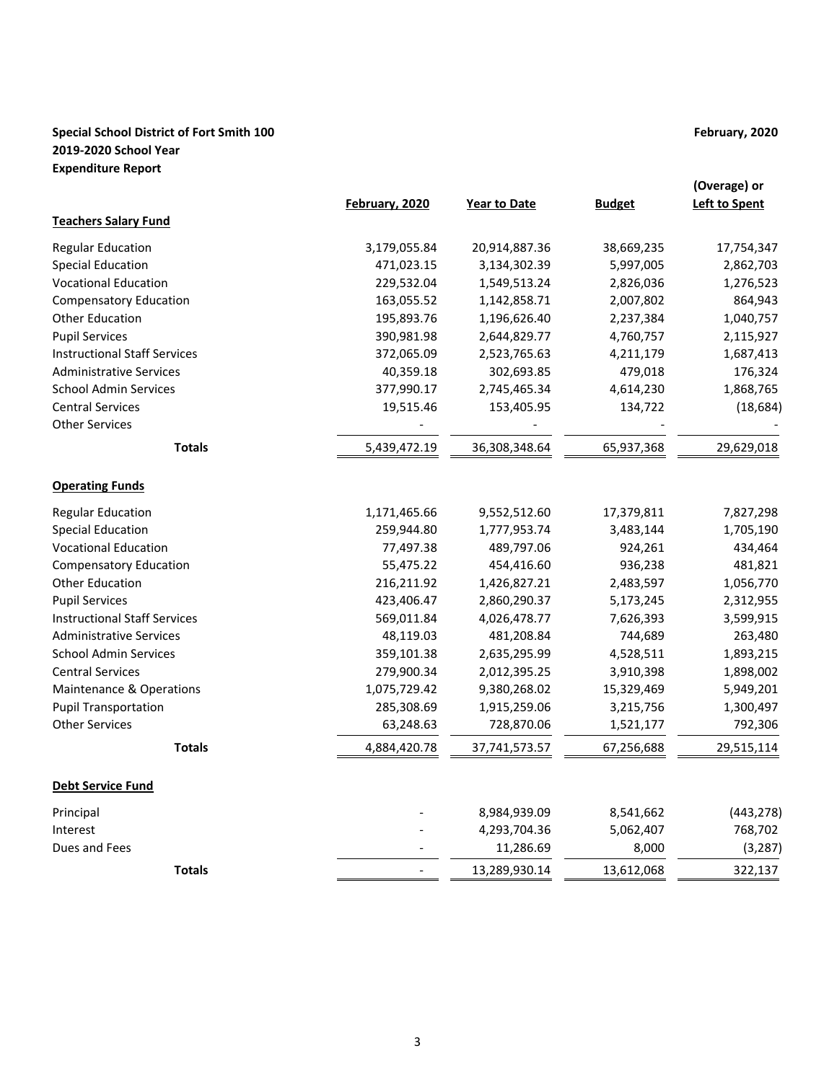# **Special School District of Fort Smith 100 February, 2020 2019-2020 School Year Expenditure Report**

|                                     | February, 2020 | <b>Year to Date</b> | <b>Budget</b> | (Overage) or<br><b>Left to Spent</b> |
|-------------------------------------|----------------|---------------------|---------------|--------------------------------------|
| <b>Teachers Salary Fund</b>         |                |                     |               |                                      |
| <b>Regular Education</b>            | 3,179,055.84   | 20,914,887.36       | 38,669,235    | 17,754,347                           |
| <b>Special Education</b>            | 471,023.15     | 3,134,302.39        | 5,997,005     | 2,862,703                            |
| <b>Vocational Education</b>         | 229,532.04     | 1,549,513.24        | 2,826,036     | 1,276,523                            |
| <b>Compensatory Education</b>       | 163,055.52     | 1,142,858.71        | 2,007,802     | 864,943                              |
| <b>Other Education</b>              | 195,893.76     | 1,196,626.40        | 2,237,384     | 1,040,757                            |
| <b>Pupil Services</b>               | 390,981.98     | 2,644,829.77        | 4,760,757     | 2,115,927                            |
| <b>Instructional Staff Services</b> | 372,065.09     | 2,523,765.63        | 4,211,179     | 1,687,413                            |
| <b>Administrative Services</b>      | 40,359.18      | 302,693.85          | 479,018       | 176,324                              |
| <b>School Admin Services</b>        | 377,990.17     | 2,745,465.34        | 4,614,230     | 1,868,765                            |
| <b>Central Services</b>             | 19,515.46      | 153,405.95          | 134,722       | (18, 684)                            |
| <b>Other Services</b>               |                |                     |               |                                      |
| <b>Totals</b>                       | 5,439,472.19   | 36,308,348.64       | 65,937,368    | 29,629,018                           |
| <b>Operating Funds</b>              |                |                     |               |                                      |
| <b>Regular Education</b>            | 1,171,465.66   | 9,552,512.60        | 17,379,811    | 7,827,298                            |
| <b>Special Education</b>            | 259,944.80     | 1,777,953.74        | 3,483,144     | 1,705,190                            |
| <b>Vocational Education</b>         | 77,497.38      | 489,797.06          | 924,261       | 434,464                              |
| <b>Compensatory Education</b>       | 55,475.22      | 454,416.60          | 936,238       | 481,821                              |
| <b>Other Education</b>              | 216,211.92     | 1,426,827.21        | 2,483,597     | 1,056,770                            |
| <b>Pupil Services</b>               | 423,406.47     | 2,860,290.37        | 5,173,245     | 2,312,955                            |
| <b>Instructional Staff Services</b> | 569,011.84     | 4,026,478.77        | 7,626,393     | 3,599,915                            |
| <b>Administrative Services</b>      | 48,119.03      | 481,208.84          | 744,689       | 263,480                              |
| <b>School Admin Services</b>        | 359,101.38     | 2,635,295.99        | 4,528,511     | 1,893,215                            |
| <b>Central Services</b>             | 279,900.34     | 2,012,395.25        | 3,910,398     | 1,898,002                            |
| Maintenance & Operations            | 1,075,729.42   | 9,380,268.02        | 15,329,469    | 5,949,201                            |
| <b>Pupil Transportation</b>         | 285,308.69     | 1,915,259.06        | 3,215,756     | 1,300,497                            |
| <b>Other Services</b>               | 63,248.63      | 728,870.06          | 1,521,177     | 792,306                              |
| <b>Totals</b>                       | 4,884,420.78   | 37,741,573.57       | 67,256,688    | 29,515,114                           |
| <b>Debt Service Fund</b>            |                |                     |               |                                      |
| Principal                           |                | 8,984,939.09        | 8,541,662     | (443, 278)                           |
| Interest                            |                | 4,293,704.36        | 5,062,407     | 768,702                              |
| Dues and Fees                       |                | 11,286.69           | 8,000         | (3, 287)                             |
| <b>Totals</b>                       |                | 13,289,930.14       | 13,612,068    | 322,137                              |